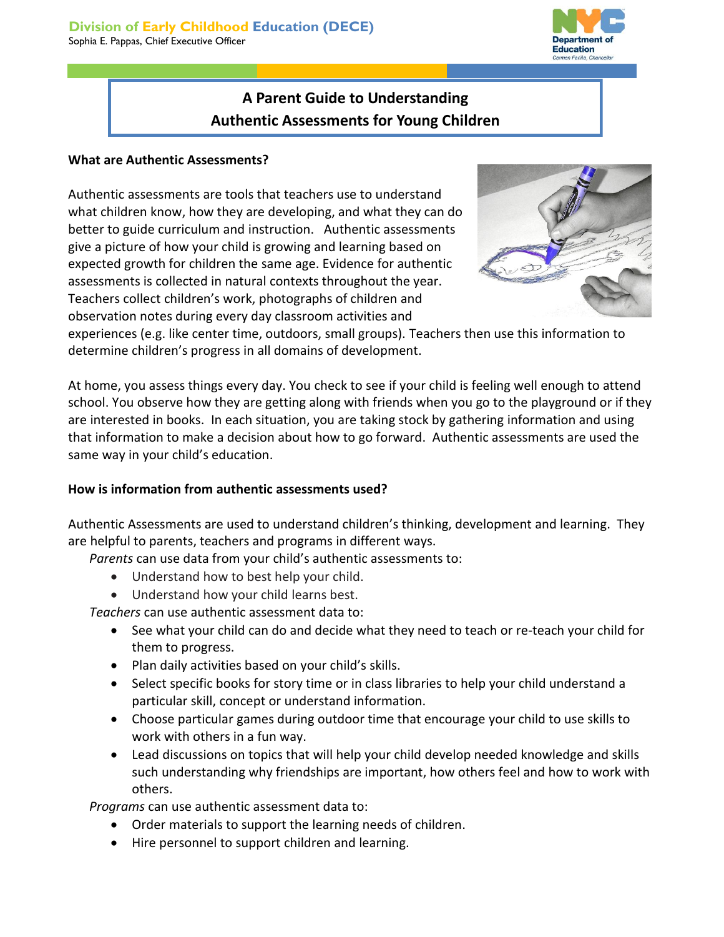**Denartment Education** 

# **A Parent Guide to Understanding Authentic Assessments for Young Children**

## **What are Authentic Assessments?**

Authentic assessments are tools that teachers use to understand what children know, how they are developing, and what they can do better to guide curriculum and instruction. Authentic assessments give a picture of how your child is growing and learning based on expected growth for children the same age. Evidence for authentic assessments is collected in natural contexts throughout the year. Teachers collect children's work, photographs of children and observation notes during every day classroom activities and



experiences (e.g. like center time, outdoors, small groups). Teachers then use this information to determine children's progress in all domains of development.

At home, you assess things every day. You check to see if your child is feeling well enough to attend school. You observe how they are getting along with friends when you go to the playground or if they are interested in books. In each situation, you are taking stock by gathering information and using that information to make a decision about how to go forward. Authentic assessments are used the same way in your child's education.

## **How is information from authentic assessments used?**

Authentic Assessments are used to understand children's thinking, development and learning. They are helpful to parents, teachers and programs in different ways.

*Parents* can use data from your child's authentic assessments to:

- Understand how to best help your child.
- Understand how your child learns best.

*Teachers* can use authentic assessment data to:

- See what your child can do and decide what they need to teach or re-teach your child for them to progress.
- Plan daily activities based on your child's skills.
- Select specific books for story time or in class libraries to help your child understand a particular skill, concept or understand information.
- Choose particular games during outdoor time that encourage your child to use skills to work with others in a fun way.
- Lead discussions on topics that will help your child develop needed knowledge and skills such understanding why friendships are important, how others feel and how to work with others.

*Programs* can use authentic assessment data to:

- Order materials to support the learning needs of children.
- Hire personnel to support children and learning.